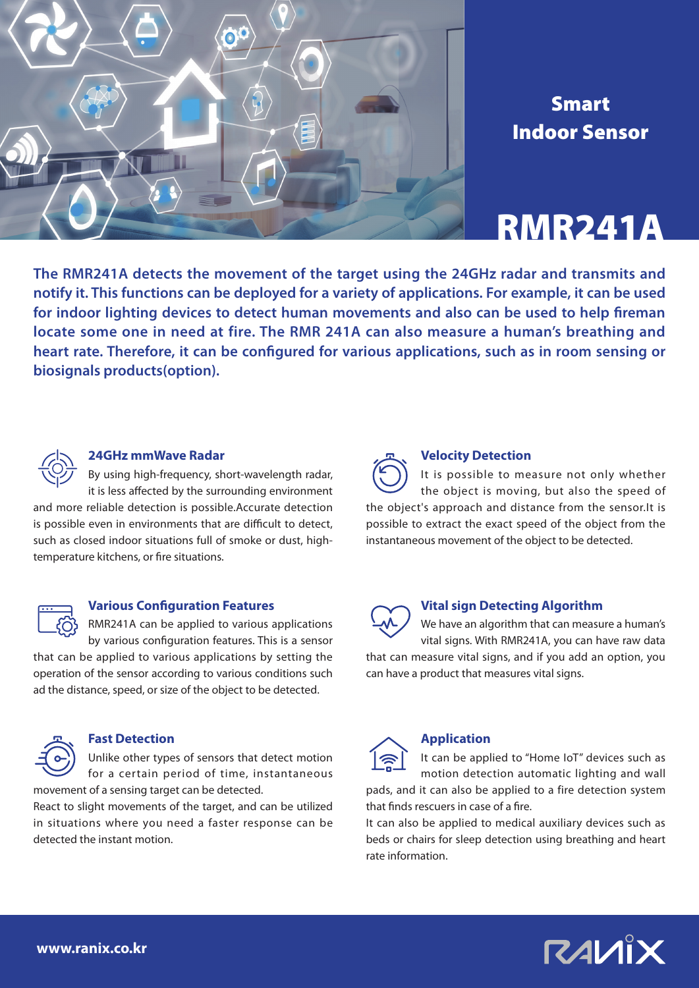

## Smart Indoor Sensor

## RMR241A

**The RMR241A detects the movement of the target using the 24GHz radar and transmits and notify it. This functions can be deployed for a variety of applications. For example, it can be used for indoor lighting devices to detect human movements and also can be used to help fireman locate some one in need at fire. The RMR 241A can also measure a human's breathing and heart rate. Therefore, it can be configured for various applications, such as in room sensing or biosignals products(option).**



#### **24GHz mmWave Radar**

By using high-frequency, short-wavelength radar, it is less affected by the surrounding environment

and more reliable detection is possible.Accurate detection is possible even in environments that are difficult to detect, such as closed indoor situations full of smoke or dust, hightemperature kitchens, or fire situations.



### **Various Configuration Features**

RMR241A can be applied to various applications by various configuration features. This is a sensor

that can be applied to various applications by setting the operation of the sensor according to various conditions such ad the distance, speed, or size of the object to be detected.



#### **Fast Detection**

Unlike other types of sensors that detect motion for a certain period of time, instantaneous movement of a sensing target can be detected.

React to slight movements of the target, and can be utilized in situations where you need a faster response can be detected the instant motion.



It is possible to measure not only whether the object is moving, but also the speed of the object's approach and distance from the sensor.It is possible to extract the exact speed of the object from the instantaneous movement of the object to be detected.

### **Vital sign Detecting Algorithm**

We have an algorithm that can measure a human's vital signs. With RMR241A, you can have raw data

that can measure vital signs, and if you add an option, you can have a product that measures vital signs.



## **Application**

It can be applied to "Home IoT" devices such as motion detection automatic lighting and wall

pads, and it can also be applied to a fire detection system that finds rescuers in case of a fire.

It can also be applied to medical auxiliary devices such as beds or chairs for sleep detection using breathing and heart rate information.